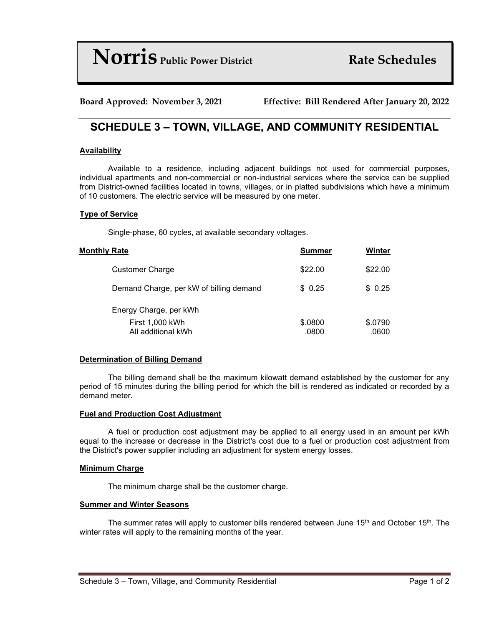**NOTTIS** Public Power District **Rate Schedules** 

**Board Approved: November 3, 2021 Effective: Bill Rendered After January 20, 2022**

# **SCHEDULE 3 – TOWN, VILLAGE, AND COMMUNITY RESIDENTIAL**

## **Availability**

Available to a residence, including adjacent buildings not used for commercial purposes, individual apartments and non-commercial or non-industrial services where the service can be supplied from District-owned facilities located in towns, villages, or in platted subdivisions which have a minimum of 10 customers. The electric service will be measured by one meter.

### **Type of Service**

Single-phase, 60 cycles, at available secondary voltages.

| <b>Monthly Rate</b>                     | Summer  | Winter  |
|-----------------------------------------|---------|---------|
| <b>Customer Charge</b>                  | \$22.00 | \$22.00 |
| Demand Charge, per kW of billing demand | \$0.25  | \$0.25  |
| Energy Charge, per kWh                  |         |         |
| First 1,000 kWh                         | \$.0800 | \$.0790 |
| All additional kWh                      | .0800   | .0600   |

#### **Determination of Billing Demand**

The billing demand shall be the maximum kilowatt demand established by the customer for any period of 15 minutes during the billing period for which the bill is rendered as indicated or recorded by a demand meter.

### **Fuel and Production Cost Adjustment**

A fuel or production cost adjustment may be applied to all energy used in an amount per kWh equal to the increase or decrease in the District's cost due to a fuel or production cost adjustment from the District's power supplier including an adjustment for system energy losses.

#### **Minimum Charge**

The minimum charge shall be the customer charge.

### **Summer and Winter Seasons**

The summer rates will apply to customer bills rendered between June  $15<sup>th</sup>$  and October  $15<sup>th</sup>$ . The winter rates will apply to the remaining months of the year.